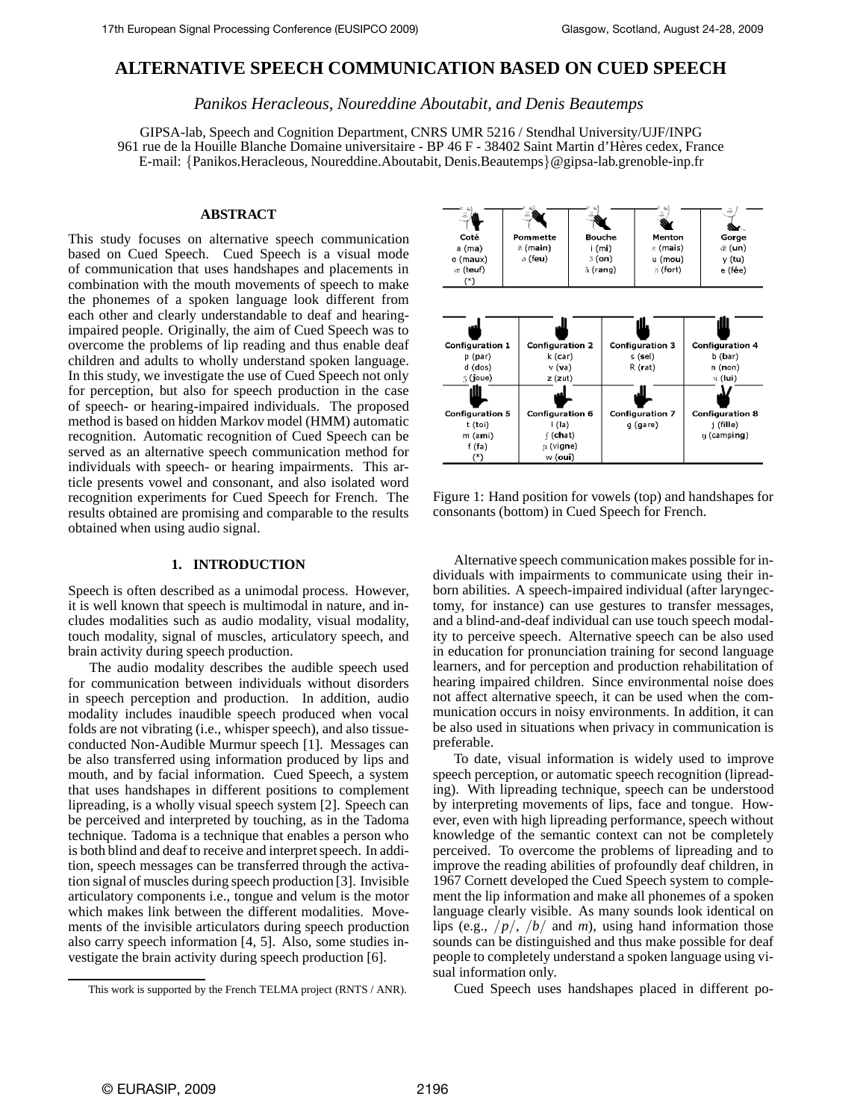# **ALTERNATIVE SPEECH COMMUNICATION BASED ON CUED SPEECH**

*Panikos Heracleous, Noureddine Aboutabit, and Denis Beautemps*

GIPSA-lab, Speech and Cognition Department, CNRS UMR 5216 / Stendhal University/UJF/INPG 961 rue de la Houille Blanche Domaine universitaire - BP 46 F - 38402 Saint Martin d'Hères cedex, France E-mail: {Panikos.Heracleous, Noureddine.Aboutabit, Denis.Beautemps}@gipsa-lab.grenoble-inp.fr

## **ABSTRACT**

This study focuses on alternative speech communication based on Cued Speech. Cued Speech is a visual mode of communication that uses handshapes and placements in combination with the mouth movements of speech to make the phonemes of a spoken language look different from each other and clearly understandable to deaf and hearingimpaired people. Originally, the aim of Cued Speech was to overcome the problems of lip reading and thus enable deaf children and adults to wholly understand spoken language. In this study, we investigate the use of Cued Speech not only for perception, but also for speech production in the case of speech- or hearing-impaired individuals. The proposed method is based on hidden Markov model (HMM) automatic recognition. Automatic recognition of Cued Speech can be served as an alternative speech communication method for individuals with speech- or hearing impairments. This article presents vowel and consonant, and also isolated word recognition experiments for Cued Speech for French. The results obtained are promising and comparable to the results obtained when using audio signal.

## **1. INTRODUCTION**

Speech is often described as a unimodal process. However, it is well known that speech is multimodal in nature, and includes modalities such as audio modality, visual modality, touch modality, signal of muscles, articulatory speech, and brain activity during speech production.

The audio modality describes the audible speech used for communication between individuals without disorders in speech perception and production. In addition, audio modality includes inaudible speech produced when vocal folds are not vibrating (i.e., whisper speech), and also tissueconducted Non-Audible Murmur speech [1]. Messages can be also transferred using information produced by lips and mouth, and by facial information. Cued Speech, a system that uses handshapes in different positions to complement lipreading, is a wholly visual speech system [2]. Speech can be perceived and interpreted by touching, as in the Tadoma technique. Tadoma is a technique that enables a person who is both blind and deaf to receive and interpret speech. In addition, speech messages can be transferred through the activation signal of muscles during speech production [3]. Invisible articulatory components i.e., tongue and velum is the motor which makes link between the different modalities. Movements of the invisible articulators during speech production also carry speech information [4, 5]. Also, some studies investigate the brain activity during speech production [6].



Figure 1: Hand position for vowels (top) and handshapes for consonants (bottom) in Cued Speech for French.

Alternative speech communication makes possible for individuals with impairments to communicate using their inborn abilities. A speech-impaired individual (after laryngectomy, for instance) can use gestures to transfer messages, and a blind-and-deaf individual can use touch speech modality to perceive speech. Alternative speech can be also used in education for pronunciation training for second language learners, and for perception and production rehabilitation of hearing impaired children. Since environmental noise does not affect alternative speech, it can be used when the communication occurs in noisy environments. In addition, it can be also used in situations when privacy in communication is preferable.

To date, visual information is widely used to improve speech perception, or automatic speech recognition (lipreading). With lipreading technique, speech can be understood by interpreting movements of lips, face and tongue. However, even with high lipreading performance, speech without knowledge of the semantic context can not be completely perceived. To overcome the problems of lipreading and to improve the reading abilities of profoundly deaf children, in 1967 Cornett developed the Cued Speech system to complement the lip information and make all phonemes of a spoken language clearly visible. As many sounds look identical on lips (e.g., /*p*/, /*b*/ and *m*), using hand information those sounds can be distinguished and thus make possible for deaf people to completely understand a spoken language using visual information only.

Cued Speech uses handshapes placed in different po-

This work is supported by the French TELMA project (RNTS / ANR).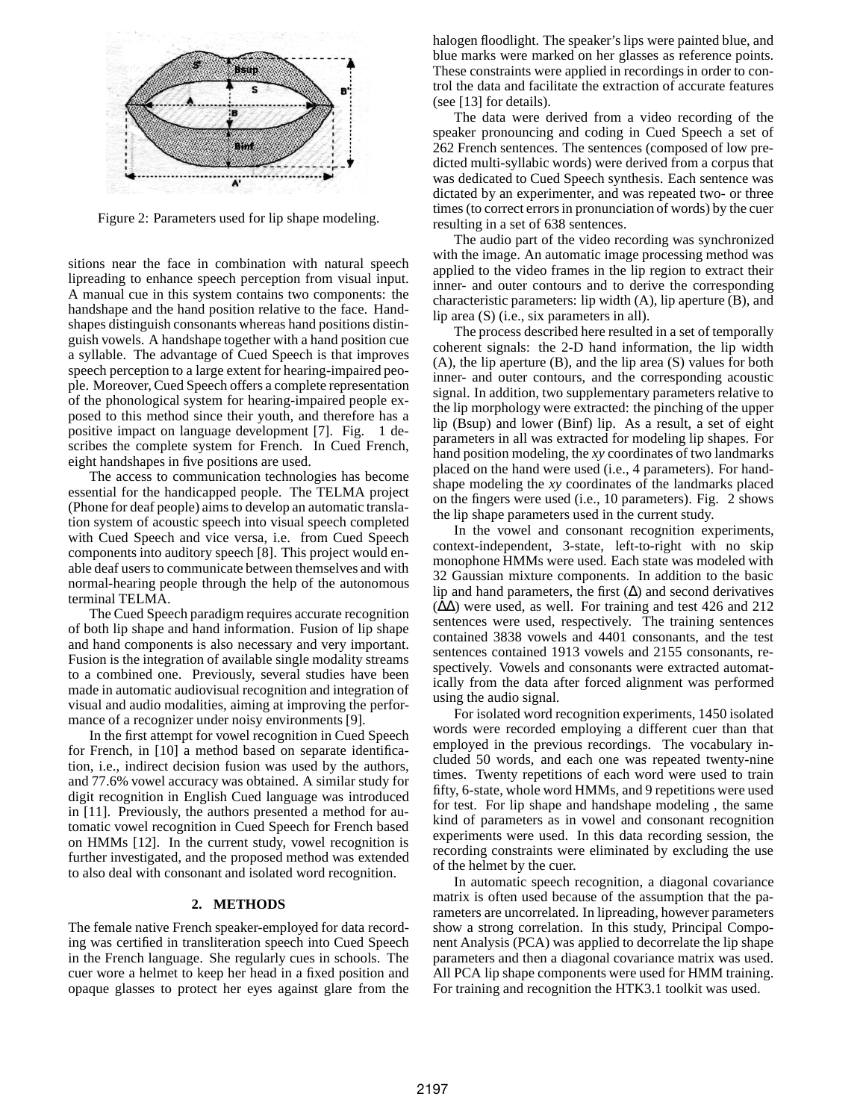

Figure 2: Parameters used for lip shape modeling.

sitions near the face in combination with natural speech lipreading to enhance speech perception from visual input. A manual cue in this system contains two components: the handshape and the hand position relative to the face. Handshapes distinguish consonants whereas hand positions distinguish vowels. A handshape together with a hand position cue a syllable. The advantage of Cued Speech is that improves speech perception to a large extent for hearing-impaired people. Moreover, Cued Speech offers a complete representation of the phonological system for hearing-impaired people exposed to this method since their youth, and therefore has a positive impact on language development [7]. Fig. 1 describes the complete system for French. In Cued French, eight handshapes in five positions are used.

The access to communication technologies has become essential for the handicapped people. The TELMA project (Phone for deaf people) aims to develop an automatic translation system of acoustic speech into visual speech completed with Cued Speech and vice versa, i.e. from Cued Speech components into auditory speech [8]. This project would enable deaf users to communicate between themselves and with normal-hearing people through the help of the autonomous terminal TELMA.

The Cued Speech paradigm requires accurate recognition of both lip shape and hand information. Fusion of lip shape and hand components is also necessary and very important. Fusion is the integration of available single modality streams to a combined one. Previously, several studies have been made in automatic audiovisual recognition and integration of visual and audio modalities, aiming at improving the performance of a recognizer under noisy environments [9].

In the first attempt for vowel recognition in Cued Speech for French, in [10] a method based on separate identification, i.e., indirect decision fusion was used by the authors, and 77.6% vowel accuracy was obtained. A similar study for digit recognition in English Cued language was introduced in [11]. Previously, the authors presented a method for automatic vowel recognition in Cued Speech for French based on HMMs [12]. In the current study, vowel recognition is further investigated, and the proposed method was extended to also deal with consonant and isolated word recognition.

#### **2. METHODS**

The female native French speaker-employed for data recording was certified in transliteration speech into Cued Speech in the French language. She regularly cues in schools. The cuer wore a helmet to keep her head in a fixed position and opaque glasses to protect her eyes against glare from the

halogen floodlight. The speaker's lips were painted blue, and blue marks were marked on her glasses as reference points. These constraints were applied in recordings in order to control the data and facilitate the extraction of accurate features (see [13] for details).

The data were derived from a video recording of the speaker pronouncing and coding in Cued Speech a set of 262 French sentences. The sentences (composed of low predicted multi-syllabic words) were derived from a corpus that was dedicated to Cued Speech synthesis. Each sentence was dictated by an experimenter, and was repeated two- or three times (to correct errors in pronunciation of words) by the cuer resulting in a set of 638 sentences.

The audio part of the video recording was synchronized with the image. An automatic image processing method was applied to the video frames in the lip region to extract their inner- and outer contours and to derive the corresponding characteristic parameters: lip width (A), lip aperture (B), and lip area (S) (i.e., six parameters in all).

The process described here resulted in a set of temporally coherent signals: the 2-D hand information, the lip width (A), the lip aperture (B), and the lip area (S) values for both inner- and outer contours, and the corresponding acoustic signal. In addition, two supplementary parameters relative to the lip morphology were extracted: the pinching of the upper lip (Bsup) and lower (Binf) lip. As a result, a set of eight parameters in all was extracted for modeling lip shapes. For hand position modeling, the *xy* coordinates of two landmarks placed on the hand were used (i.e., 4 parameters). For handshape modeling the *xy* coordinates of the landmarks placed on the fingers were used (i.e., 10 parameters). Fig. 2 shows the lip shape parameters used in the current study.

In the vowel and consonant recognition experiments, context-independent, 3-state, left-to-right with no skip monophone HMMs were used. Each state was modeled with 32 Gaussian mixture components. In addition to the basic lip and hand parameters, the first  $(\Delta)$  and second derivatives  $(\Delta\Delta)$  were used, as well. For training and test 426 and 212 sentences were used, respectively. The training sentences contained 3838 vowels and 4401 consonants, and the test sentences contained 1913 vowels and 2155 consonants, respectively. Vowels and consonants were extracted automatically from the data after forced alignment was performed using the audio signal.

For isolated word recognition experiments, 1450 isolated words were recorded employing a different cuer than that employed in the previous recordings. The vocabulary included 50 words, and each one was repeated twenty-nine times. Twenty repetitions of each word were used to train fifty, 6-state, whole word HMMs, and 9 repetitions were used for test. For lip shape and handshape modeling , the same kind of parameters as in vowel and consonant recognition experiments were used. In this data recording session, the recording constraints were eliminated by excluding the use of the helmet by the cuer.

In automatic speech recognition, a diagonal covariance matrix is often used because of the assumption that the parameters are uncorrelated. In lipreading, however parameters show a strong correlation. In this study, Principal Component Analysis (PCA) was applied to decorrelate the lip shape parameters and then a diagonal covariance matrix was used. All PCA lip shape components were used for HMM training. For training and recognition the HTK3.1 toolkit was used.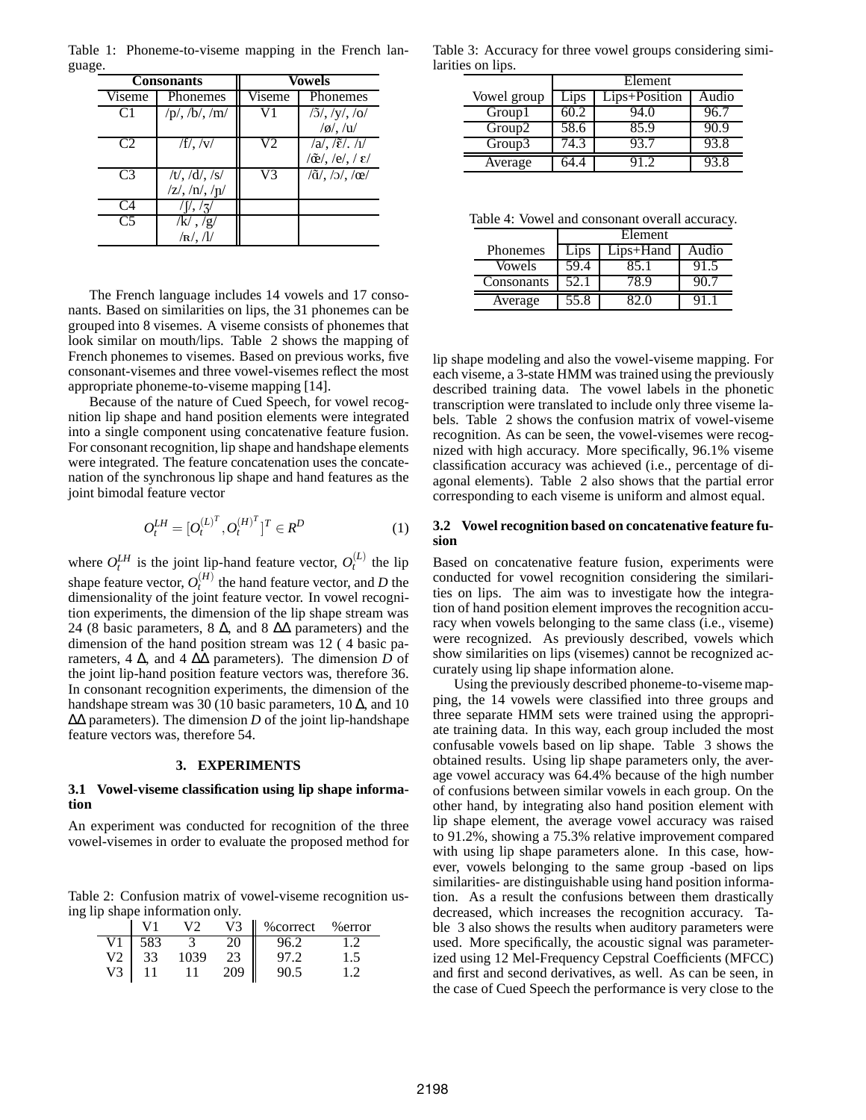|                | <b>Consonants</b>                                                                                      | Vowels        |                                                                                                                        |
|----------------|--------------------------------------------------------------------------------------------------------|---------------|------------------------------------------------------------------------------------------------------------------------|
| Viseme         | Phonemes                                                                                               | <b>Viseme</b> | Phonemes                                                                                                               |
| C <sub>1</sub> | $/p/$ , $/b/$ , $/m/$                                                                                  |               | $/5/$ , $/y/$ , $/0/$<br>$/\alpha$ , /u/                                                                               |
| C2             | $/f/$ , $/v/$                                                                                          | V2            | $\sqrt{a}/\sqrt{\tilde{\epsilon}}/\sqrt{1/2}$<br>$\langle \tilde{\mathbf{e}}_1, \langle \mathbf{e}_2, \rangle \rangle$ |
| C <sup>3</sup> | $\overline{7t}$ , $\overline{7d}/\overline{t}$ , $\overline{7s}/\overline{t}$<br>$/z/$ , $/n/$ , $/n/$ | V3            | $\langle \tilde{q}\rangle$ , $\langle \tilde{q}\rangle$ , $\langle \tilde{q}\rangle$                                   |
| C4             | $\frac{1}{2}$                                                                                          |               |                                                                                                                        |
| $\overline{C}$ | /k/ , /g/<br>/ $\mathbf{R}$ /. / $\mathbf{l}$ /                                                        |               |                                                                                                                        |

Table 1: Phoneme-to-viseme mapping in the French language.

The French language includes 14 vowels and 17 consonants. Based on similarities on lips, the 31 phonemes can be grouped into 8 visemes. A viseme consists of phonemes that look similar on mouth/lips. Table 2 shows the mapping of French phonemes to visemes. Based on previous works, five consonant-visemes and three vowel-visemes reflect the most appropriate phoneme-to-viseme mapping [14].

Because of the nature of Cued Speech, for vowel recognition lip shape and hand position elements were integrated into a single component using concatenative feature fusion. For consonant recognition, lip shape and handshape elements were integrated. The feature concatenation uses the concatenation of the synchronous lip shape and hand features as the joint bimodal feature vector

$$
O_t^{LH} = [O_t^{(L)^T}, O_t^{(H)^T}]^T \in R^D
$$
 (1)

where  $O_t^{LH}$  is the joint lip-hand feature vector,  $O_t^{(L)}$  the lip shape feature vector,  $O_t^{(H)}$  the hand feature vector, and *D* the dimensionality of the joint feature vector. In vowel recognition experiments, the dimension of the lip shape stream was 24 (8 basic parameters, 8  $\Delta$ , and 8  $\Delta\Delta$  parameters) and the dimension of the hand position stream was 12 ( 4 basic parameters, 4  $\Delta$ , and 4  $\Delta\Delta$  parameters). The dimension *D* of the joint lip-hand position feature vectors was, therefore 36. In consonant recognition experiments, the dimension of the handshape stream was 30 (10 basic parameters,  $10 \Delta$ , and  $10$ ∆∆ parameters). The dimension *D* of the joint lip-handshape feature vectors was, therefore 54.

#### **3. EXPERIMENTS**

#### **3.1 Vowel-viseme classification using lip shape information**

An experiment was conducted for recognition of the three vowel-visemes in order to evaluate the proposed method for

Table 2: Confusion matrix of vowel-viseme recognition using lip shape information only.

|    |     |      | V3 | % correct | %error |
|----|-----|------|----|-----------|--------|
|    | 583 |      |    |           |        |
| V2 |     | .039 |    | 97.2      |        |
|    |     |      |    |           |        |

Table 3: Accuracy for three vowel groups considering similarities on lips.

|                    | Element |               |       |
|--------------------|---------|---------------|-------|
| Vowel group        | Lips    | Lips+Position | Audio |
| Group1             | 60.2    | 94.0          | 96.7  |
| Group <sub>2</sub> | 58.6    | 85.9          | 90.9  |
| Group3             | 74.3    | 93.7          | 93.8  |
| Average            |         |               | 93.8  |

Table 4: Vowel and consonant overall accuracy.

|                 | Element |             |       |
|-----------------|---------|-------------|-------|
| <b>Phonemes</b> | Lips    | $Lips+Hand$ | Audio |
| Vowels          | 59.4    | 85.1        |       |
| Consonants      | 52.1    | 78 9        |       |
| Average         | 55.8    |             |       |

lip shape modeling and also the vowel-viseme mapping. For each viseme, a 3-state HMM was trained using the previously described training data. The vowel labels in the phonetic transcription were translated to include only three viseme labels. Table 2 shows the confusion matrix of vowel-viseme recognition. As can be seen, the vowel-visemes were recognized with high accuracy. More specifically, 96.1% viseme classification accuracy was achieved (i.e., percentage of diagonal elements). Table 2 also shows that the partial error corresponding to each viseme is uniform and almost equal.

#### **3.2 Vowel recognition based on concatenative feature fusion**

Based on concatenative feature fusion, experiments were conducted for vowel recognition considering the similarities on lips. The aim was to investigate how the integration of hand position element improves the recognition accuracy when vowels belonging to the same class (i.e., viseme) were recognized. As previously described, vowels which show similarities on lips (visemes) cannot be recognized accurately using lip shape information alone.

Using the previously described phoneme-to-viseme mapping, the 14 vowels were classified into three groups and three separate HMM sets were trained using the appropriate training data. In this way, each group included the most confusable vowels based on lip shape. Table 3 shows the obtained results. Using lip shape parameters only, the average vowel accuracy was 64.4% because of the high number of confusions between similar vowels in each group. On the other hand, by integrating also hand position element with lip shape element, the average vowel accuracy was raised to 91.2%, showing a 75.3% relative improvement compared with using lip shape parameters alone. In this case, however, vowels belonging to the same group -based on lips similarities- are distinguishable using hand position information. As a result the confusions between them drastically decreased, which increases the recognition accuracy. Table 3 also shows the results when auditory parameters were used. More specifically, the acoustic signal was parameterized using 12 Mel-Frequency Cepstral Coefficients (MFCC) and first and second derivatives, as well. As can be seen, in the case of Cued Speech the performance is very close to the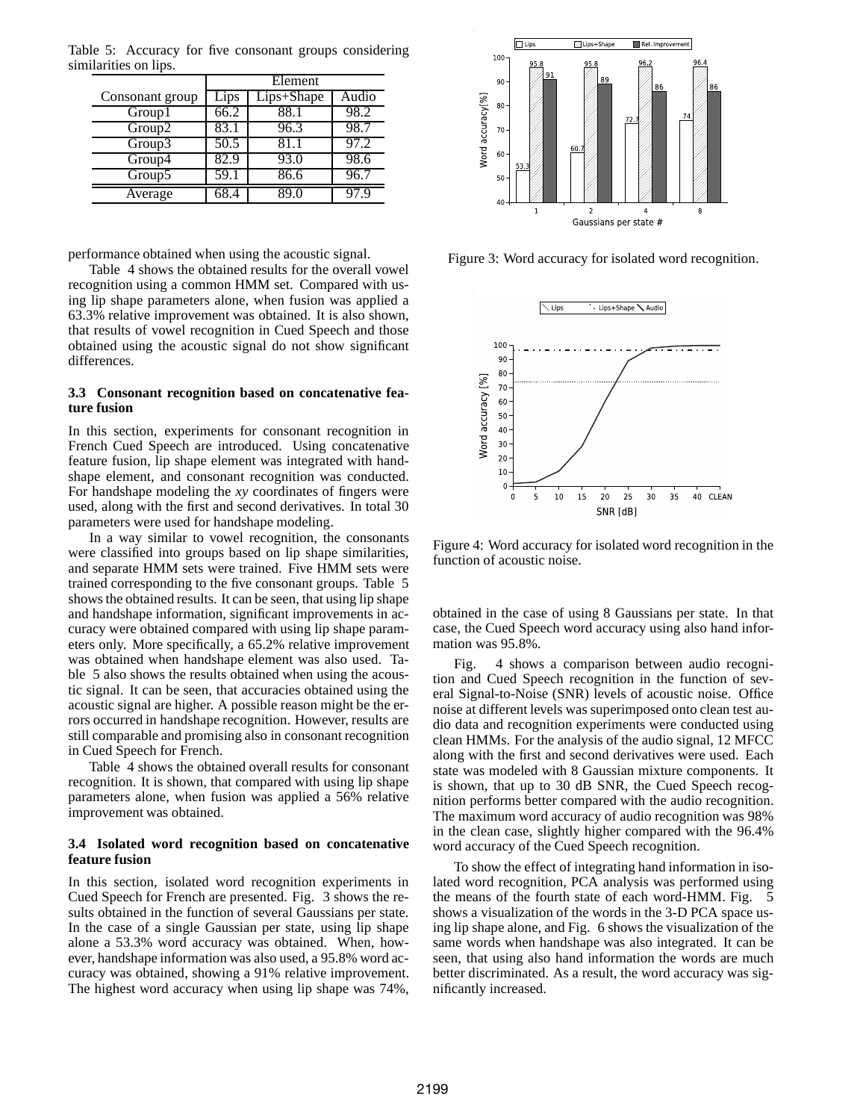|                 | Element |              |       |
|-----------------|---------|--------------|-------|
| Consonant group | Lips    | $Lips+Shape$ | Audio |
| Group1          | 66.2    | 88.1         | 98.2  |
| Group2          | 83.1    | 96.3         | 98.7  |
| Group3          | 50.5    | 81.1         | 97.2  |
| Group4          | 82.9    | 93.0         | 98.6  |
| Group5          | 59.1    | 86.6         | 96.7  |
| Average         |         |              |       |

Table 5: Accuracy for five consonant groups considering similarities on lips.

performance obtained when using the acoustic signal.

Table 4 shows the obtained results for the overall vowel recognition using a common HMM set. Compared with using lip shape parameters alone, when fusion was applied a 63.3% relative improvement was obtained. It is also shown, that results of vowel recognition in Cued Speech and those obtained using the acoustic signal do not show significant differences.

## **3.3 Consonant recognition based on concatenative feature fusion**

In this section, experiments for consonant recognition in French Cued Speech are introduced. Using concatenative feature fusion, lip shape element was integrated with handshape element, and consonant recognition was conducted. For handshape modeling the *xy* coordinates of fingers were used, along with the first and second derivatives. In total 30 parameters were used for handshape modeling.

In a way similar to vowel recognition, the consonants were classified into groups based on lip shape similarities, and separate HMM sets were trained. Five HMM sets were trained corresponding to the five consonant groups. Table 5 shows the obtained results. It can be seen, that using lip shape and handshape information, significant improvements in accuracy were obtained compared with using lip shape parameters only. More specifically, a 65.2% relative improvement was obtained when handshape element was also used. Table 5 also shows the results obtained when using the acoustic signal. It can be seen, that accuracies obtained using the acoustic signal are higher. A possible reason might be the errors occurred in handshape recognition. However, results are still comparable and promising also in consonant recognition in Cued Speech for French.

Table 4 shows the obtained overall results for consonant recognition. It is shown, that compared with using lip shape parameters alone, when fusion was applied a 56% relative improvement was obtained.

#### **3.4 Isolated word recognition based on concatenative feature fusion**

In this section, isolated word recognition experiments in Cued Speech for French are presented. Fig. 3 shows the results obtained in the function of several Gaussians per state. In the case of a single Gaussian per state, using lip shape alone a 53.3% word accuracy was obtained. When, however, handshape information was also used, a 95.8% word accuracy was obtained, showing a 91% relative improvement. The highest word accuracy when using lip shape was 74%,



Figure 3: Word accuracy for isolated word recognition.



Figure 4: Word accuracy for isolated word recognition in the function of acoustic noise.

obtained in the case of using 8 Gaussians per state. In that case, the Cued Speech word accuracy using also hand information was 95.8%.

Fig. 4 shows a comparison between audio recognition and Cued Speech recognition in the function of several Signal-to-Noise (SNR) levels of acoustic noise. Office noise at different levels was superimposed onto clean test audio data and recognition experiments were conducted using clean HMMs. For the analysis of the audio signal, 12 MFCC along with the first and second derivatives were used. Each state was modeled with 8 Gaussian mixture components. It is shown, that up to 30 dB SNR, the Cued Speech recognition performs better compared with the audio recognition. The maximum word accuracy of audio recognition was 98% in the clean case, slightly higher compared with the 96.4% word accuracy of the Cued Speech recognition.

To show the effect of integrating hand information in isolated word recognition, PCA analysis was performed using the means of the fourth state of each word-HMM. Fig. shows a visualization of the words in the 3-D PCA space using lip shape alone, and Fig. 6 shows the visualization of the same words when handshape was also integrated. It can be seen, that using also hand information the words are much better discriminated. As a result, the word accuracy was significantly increased.